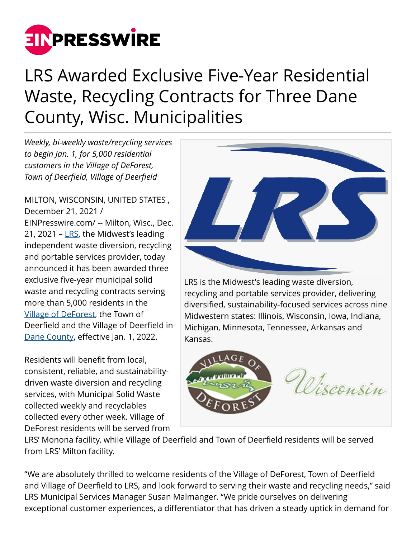

# LRS Awarded Exclusive Five-Year Residential Waste, Recycling Contracts for Three Dane County, Wisc. Municipalities

*Weekly, bi-weekly waste/recycling services to begin Jan. 1, for 5,000 residential customers in the Village of DeForest, Town of Deerfield, Village of Deerfield*

#### MILTON, WISCONSIN, UNITED STATES , December 21, 2021 /

[EINPresswire.com](http://www.einpresswire.com)/ -- Milton, Wisc., Dec. 21, 2021 –  $LRS$ , the Midwest's leading</u> independent waste diversion, recycling and portable services provider, today announced it has been awarded three exclusive five-year municipal solid waste and recycling contracts serving more than 5,000 residents in the [Village of DeForest,](http://www.vi.deforest.wi.us) the Town of Deerfield and the Village of Deerfield in [Dane County](http://countyofdane.com), effective Jan. 1, 2022.

Residents will benefit from local, consistent, reliable, and sustainabilitydriven waste diversion and recycling services, with Municipal Solid Waste collected weekly and recyclables collected every other week. Village of DeForest residents will be served from



LRS is the Midwest's leading waste diversion, recycling and portable services provider, delivering diversified, sustainability-focused services across nine Midwestern states: Illinois, Wisconsin, Iowa, Indiana, Michigan, Minnesota, Tennessee, Arkansas and Kansas.



LRS' Monona facility, while Village of Deerfield and Town of Deerfield residents will be served from LRS' Milton facility.

"We are absolutely thrilled to welcome residents of the Village of DeForest, Town of Deerfield and Village of Deerfield to LRS, and look forward to serving their waste and recycling needs," said LRS Municipal Services Manager Susan Malmanger. "We pride ourselves on delivering exceptional customer experiences, a differentiator that has driven a steady uptick in demand for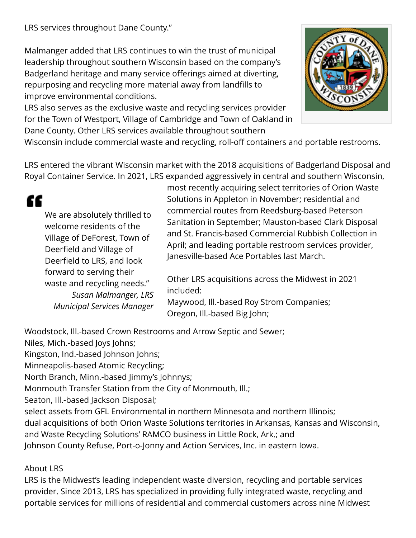Malmanger added that LRS continues to win the trust of municipal leadership throughout southern Wisconsin based on the company's Badgerland heritage and many service offerings aimed at diverting, repurposing and recycling more material away from landfills to improve environmental conditions.

LRS also serves as the exclusive waste and recycling services provider for the Town of Westport, Village of Cambridge and Town of Oakland in Dane County. Other LRS services available throughout southern



Wisconsin include commercial waste and recycling, roll-off containers and portable restrooms.

LRS entered the vibrant Wisconsin market with the 2018 acquisitions of Badgerland Disposal and Royal Container Service. In 2021, LRS expanded aggressively in central and southern Wisconsin,

## ££ We are absolutely thrilled to welcome residents of the Village of DeForest, Town of Deerfield and Village of Deerfield to LRS, and look forward to serving their waste and recycling needs." *Susan Malmanger, LRS Municipal Services Manager*

most recently acquiring select territories of Orion Waste Solutions in Appleton in November; residential and commercial routes from Reedsburg-based Peterson Sanitation in September; Mauston-based Clark Disposal and St. Francis-based Commercial Rubbish Collection in April; and leading portable restroom services provider, Janesville-based Ace Portables last March.

Other LRS acquisitions across the Midwest in 2021 included:

Maywood, Ill.-based Roy Strom Companies; Oregon, Ill.-based Big John;

Woodstock, Ill.-based Crown Restrooms and Arrow Septic and Sewer;

Niles, Mich.-based Joys Johns;

Kingston, Ind.-based Johnson Johns;

Minneapolis-based Atomic Recycling;

North Branch, Minn.-based Jimmy's Johnnys;

Monmouth Transfer Station from the City of Monmouth, Ill.;

Seaton, Ill.-based Jackson Disposal;

select assets from GFL Environmental in northern Minnesota and northern Illinois;

dual acquisitions of both Orion Waste Solutions territories in Arkansas, Kansas and Wisconsin,

and Waste Recycling Solutions' RAMCO business in Little Rock, Ark.; and Johnson County Refuse, Port-o-Jonny and Action Services, Inc. in eastern Iowa.

### About LRS

LRS is the Midwest's leading independent waste diversion, recycling and portable services provider. Since 2013, LRS has specialized in providing fully integrated waste, recycling and portable services for millions of residential and commercial customers across nine Midwest